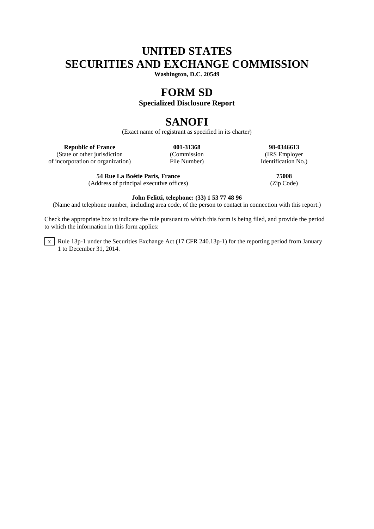# **UNITED STATES SECURITIES AND EXCHANGE COMMISSION**

**Washington, D.C. 20549**

## **FORM SD**

## **Specialized Disclosure Report**

# **SANOFI**

(Exact name of registrant as specified in its charter)

(State or other jurisdiction (Commission (Commission (IRS Employer incorporation or organization) File Number)  $\blacksquare$  Identification No.) of incorporation or organization)

**54 Rue La Boétie Paris, France 75008** (Address of principal executive offices)

**Republic of France 001-31368 98-0346613**<br>
(Commission **12.51368 98-0346613** 

### **John Felitti, telephone: (33) 1 53 77 48 96**

(Name and telephone number, including area code, of the person to contact in connection with this report.)

Check the appropriate box to indicate the rule pursuant to which this form is being filed, and provide the period to which the information in this form applies:

 $\overline{x}$  Rule 13p-1 under the Securities Exchange Act (17 CFR 240.13p-1) for the reporting period from January 1 to December 31, 2014.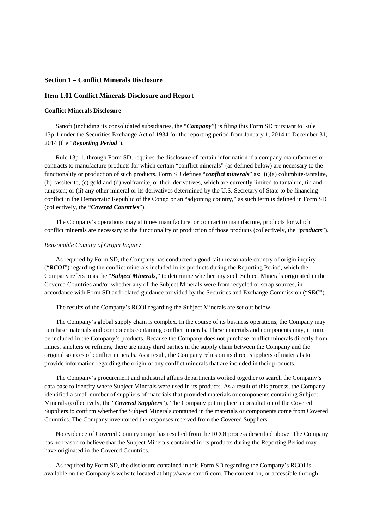### **Section 1 – Conflict Minerals Disclosure**

### **Item 1.01 Conflict Minerals Disclosure and Report**

#### **Conflict Minerals Disclosure**

Sanofi (including its consolidated subsidiaries, the "*Company*") is filing this Form SD pursuant to Rule 13p-1 under the Securities Exchange Act of 1934 for the reporting period from January 1, 2014 to December 31, 2014 (the "*Reporting Period*").

Rule 13p-1, through Form SD, requires the disclosure of certain information if a company manufactures or contracts to manufacture products for which certain "conflict minerals" (as defined below) are necessary to the functionality or production of such products. Form SD defines "*conflict minerals*" as: (i)(a) columbite-tantalite, (b) cassiterite, (c) gold and (d) wolframite, or their derivatives, which are currently limited to tantalum, tin and tungsten; or (ii) any other mineral or its derivatives determined by the U.S. Secretary of State to be financing conflict in the Democratic Republic of the Congo or an "adjoining country," as such term is defined in Form SD (collectively, the "*Covered Countries*").

The Company's operations may at times manufacture, or contract to manufacture, products for which conflict minerals are necessary to the functionality or production of those products (collectively, the "*products*").

#### *Reasonable Country of Origin Inquiry*

As required by Form SD, the Company has conducted a good faith reasonable country of origin inquiry ("*RCOI*") regarding the conflict minerals included in its products during the Reporting Period, which the Company refers to as the "*Subject Minerals*," to determine whether any such Subject Minerals originated in the Covered Countries and/or whether any of the Subject Minerals were from recycled or scrap sources, in accordance with Form SD and related guidance provided by the Securities and Exchange Commission ("*SEC*").

The results of the Company's RCOI regarding the Subject Minerals are set out below.

The Company's global supply chain is complex. In the course of its business operations, the Company may purchase materials and components containing conflict minerals. These materials and components may, in turn, be included in the Company's products. Because the Company does not purchase conflict minerals directly from mines, smelters or refiners, there are many third parties in the supply chain between the Company and the original sources of conflict minerals. As a result, the Company relies on its direct suppliers of materials to provide information regarding the origin of any conflict minerals that are included in their products.

The Company's procurement and industrial affairs departments worked together to search the Company's data base to identify where Subject Minerals were used in its products. As a result of this process, the Company identified a small number of suppliers of materials that provided materials or components containing Subject Minerals (collectively, the "*Covered Suppliers*"). The Company put in place a consultation of the Covered Suppliers to confirm whether the Subject Minerals contained in the materials or components come from Covered Countries. The Company inventoried the responses received from the Covered Suppliers.

No evidence of Covered Country origin has resulted from the RCOI process described above. The Company has no reason to believe that the Subject Minerals contained in its products during the Reporting Period may have originated in the Covered Countries.

As required by Form SD, the disclosure contained in this Form SD regarding the Company's RCOI is available on the Company's website located at http://www.sanofi.com. The content on, or accessible through,